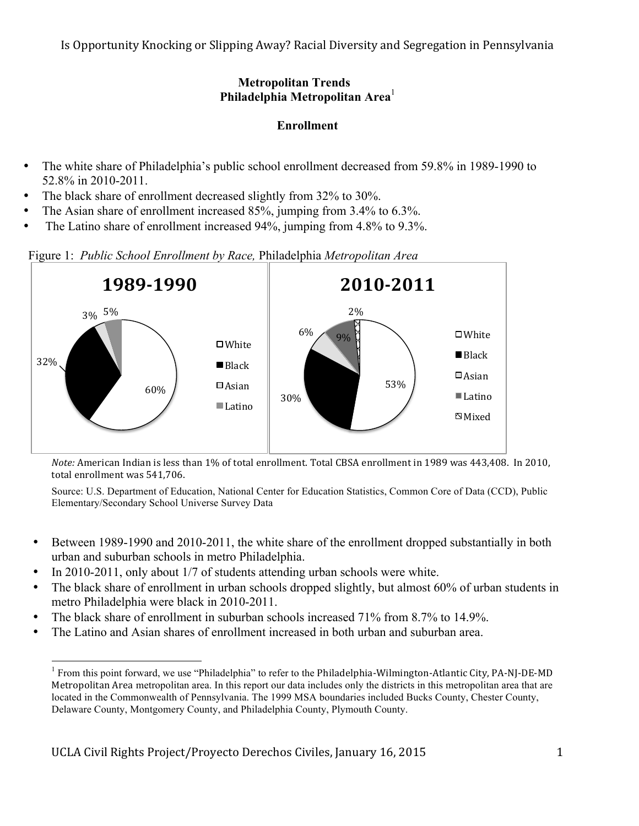Is Opportunity Knocking or Slipping Away? Racial Diversity and Segregation in Pennsylvania

## **Metropolitan Trends Philadelphia Metropolitan Area**<sup>1</sup>

# **Enrollment**

- The white share of Philadelphia's public school enrollment decreased from 59.8% in 1989-1990 to 52.8% in 2010-2011.
- The black share of enrollment decreased slightly from 32% to 30%.
- The Asian share of enrollment increased 85%, jumping from 3.4% to 6.3%.
- The Latino share of enrollment increased 94%, jumping from 4.8% to 9.3%.

Figure 1: *Public School Enrollment by Race,* Philadelphia *Metropolitan Area*



*Note:* American Indian is less than 1% of total enrollment. Total CBSA enrollment in 1989 was 443,408. In 2010, total enrollment was 541,706.

- Between 1989-1990 and 2010-2011, the white share of the enrollment dropped substantially in both urban and suburban schools in metro Philadelphia.
- In 2010-2011, only about 1/7 of students attending urban schools were white.
- The black share of enrollment in urban schools dropped slightly, but almost 60% of urban students in metro Philadelphia were black in 2010-2011.
- The black share of enrollment in suburban schools increased 71% from 8.7% to 14.9%.
- The Latino and Asian shares of enrollment increased in both urban and suburban area.

<sup>&</sup>lt;sup>1</sup> From this point forward, we use "Philadelphia" to refer to the Philadelphia-Wilmington-Atlantic City, PA-NJ-DE-MD Metropolitan Area metropolitan area. In this report our data includes only the districts in this metropolitan area that are located in the Commonwealth of Pennsylvania. The 1999 MSA boundaries included Bucks County, Chester County, Delaware County, Montgomery County, and Philadelphia County, Plymouth County.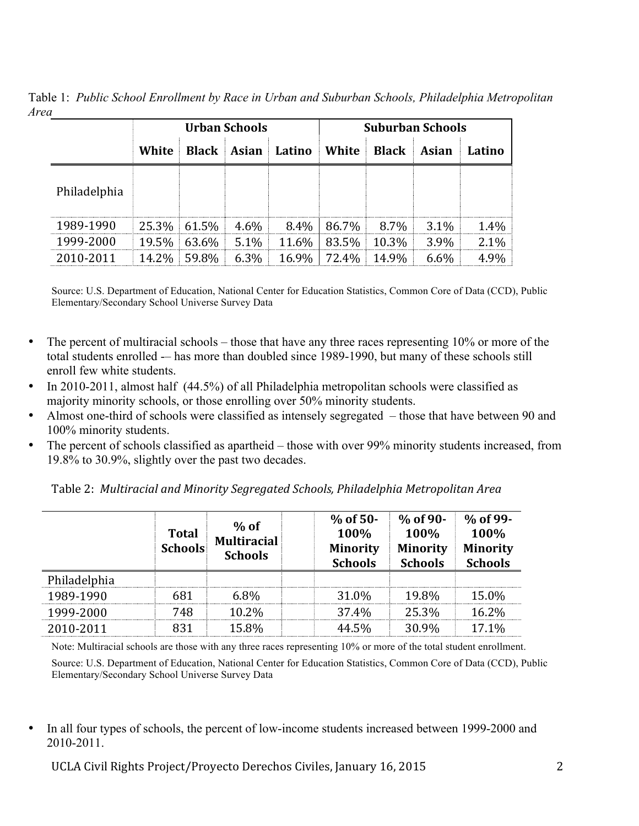Table 1: *Public School Enrollment by Race in Urban and Suburban Schools, Philadelphia Metropolitan Area*

|              | Urban Schools |                |         |                               | <b>Suburban Schools</b> |              |              |        |
|--------------|---------------|----------------|---------|-------------------------------|-------------------------|--------------|--------------|--------|
|              | White         |                |         | <b>Black   Asian   Latino</b> | White                   | <b>Black</b> | <b>Asian</b> | Latino |
| Philadelphia |               |                |         |                               |                         |              |              |        |
| 1989-1990    |               | 25.3% 61.5%    | $4.6\%$ |                               | $8.4\%$   86.7%         | 8.7%         | $3.1\%$      | 1.4%   |
| 1999-2000    |               | 19.5% 63.6%    | $5.1\%$ | $11.6\%$                      | 83.5%                   | 10.3%        | 3.9%         | 2.1%   |
| 2010-2011    |               | $14.2\%$ 59.8% | $6.3\%$ | 16.9%                         | 72.4%                   | 14.9%        | $6.6\%$      | 4.9%   |

Source: U.S. Department of Education, National Center for Education Statistics, Common Core of Data (CCD), Public Elementary/Secondary School Universe Survey Data

- The percent of multiracial schools those that have any three races representing 10% or more of the total students enrolled -– has more than doubled since 1989-1990, but many of these schools still enroll few white students.
- In 2010-2011, almost half (44.5%) of all Philadelphia metropolitan schools were classified as majority minority schools, or those enrolling over 50% minority students.
- Almost one-third of schools were classified as intensely segregated those that have between 90 and 100% minority students.
- The percent of schools classified as apartheid those with over 99% minority students increased, from 19.8% to 30.9%, slightly over the past two decades.

Table 2: Multiracial and Minority Segregated Schools, Philadelphia Metropolitan Area

|              | <b>Total</b><br><b>Schools</b> | $%$ of<br><b>Multiracial</b><br><b>Schools</b> |  | $%$ of 50-<br>100%<br><b>Minority</b><br><b>Schools</b> | $%$ of 90-<br>100%<br><b>Minority</b><br><b>Schools</b> | % of 99-<br>100%<br><b>Minority</b><br><b>Schools</b> |
|--------------|--------------------------------|------------------------------------------------|--|---------------------------------------------------------|---------------------------------------------------------|-------------------------------------------------------|
| Philadelphia |                                |                                                |  |                                                         |                                                         |                                                       |
| 1989-1990    | 681                            | $6.8\%$                                        |  | 31.0%                                                   | 19.8%                                                   | 15.0%                                                 |
| 1999-2000    | 748                            | 10.2%                                          |  | 37.4%                                                   | 25.3%                                                   | 16.2%                                                 |
| 2010-2011    | 831                            | 15.8%                                          |  | 44.5%                                                   | 30.9%                                                   | 17.1%                                                 |

Note: Multiracial schools are those with any three races representing 10% or more of the total student enrollment.

Source: U.S. Department of Education, National Center for Education Statistics, Common Core of Data (CCD), Public Elementary/Secondary School Universe Survey Data

• In all four types of schools, the percent of low-income students increased between 1999-2000 and 2010-2011.

UCLA Civil Rights Project/Proyecto Derechos Civiles, January 16, 2015 2015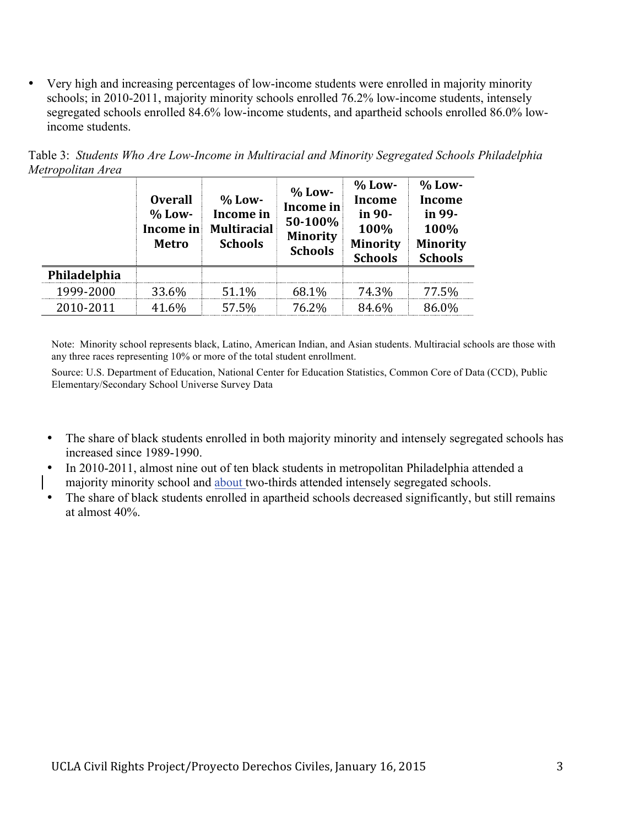• Very high and increasing percentages of low-income students were enrolled in majority minority schools; in 2010-2011, majority minority schools enrolled 76.2% low-income students, intensely segregated schools enrolled 84.6% low-income students, and apartheid schools enrolled 86.0% lowincome students.

|              | <b>Overall</b><br>$%$ Low-<br>Income in<br>Metro | $%$ Low-<br>Income in<br><b>Multiracial</b><br><b>Schools</b> | $%$ Low-<br>Income in<br>50-100%<br><b>Minority</b><br><b>Schools</b> | $%$ Low-<br>Income<br>in 90-<br>100%<br><b>Minority</b><br><b>Schools</b> | $%$ Low-<br><b>Income</b><br>in 99-<br>100%<br><b>Minority</b><br><b>Schools</b> |
|--------------|--------------------------------------------------|---------------------------------------------------------------|-----------------------------------------------------------------------|---------------------------------------------------------------------------|----------------------------------------------------------------------------------|
| Philadelphia |                                                  |                                                               |                                                                       |                                                                           |                                                                                  |
| 1999-2000    | 33.6%                                            | 51.1%                                                         | 68.1%                                                                 | 74.3%                                                                     | 77.5%                                                                            |
| 2010-2011    | 41.6%                                            | 57.5%                                                         | 76.2%                                                                 | 84.6%                                                                     | 86.0%                                                                            |

Table 3: *Students Who Are Low-Income in Multiracial and Minority Segregated Schools Philadelphia Metropolitan Area*

Note: Minority school represents black, Latino, American Indian, and Asian students. Multiracial schools are those with any three races representing 10% or more of the total student enrollment.

- The share of black students enrolled in both majority minority and intensely segregated schools has increased since 1989-1990.
- In 2010-2011, almost nine out of ten black students in metropolitan Philadelphia attended a majority minority school and about two-thirds attended intensely segregated schools.
- The share of black students enrolled in apartheid schools decreased significantly, but still remains at almost 40%.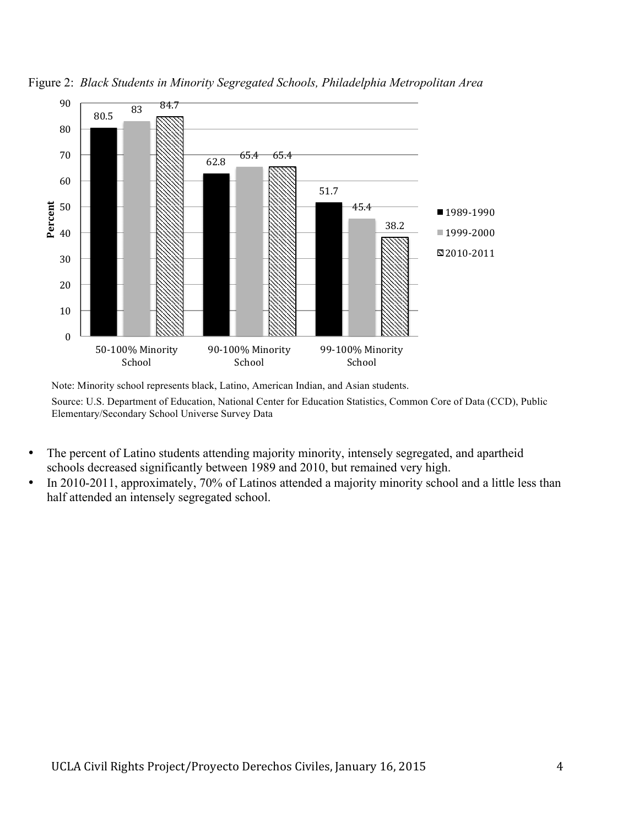

Figure 2: *Black Students in Minority Segregated Schools, Philadelphia Metropolitan Area* 

Note: Minority school represents black, Latino, American Indian, and Asian students.

- The percent of Latino students attending majority minority, intensely segregated, and apartheid schools decreased significantly between 1989 and 2010, but remained very high.
- In 2010-2011, approximately, 70% of Latinos attended a majority minority school and a little less than half attended an intensely segregated school.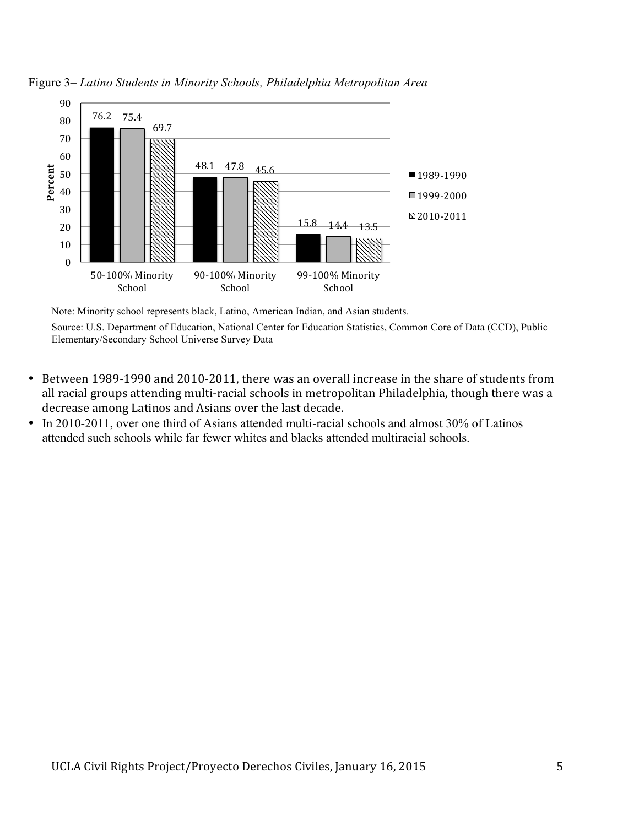

Figure 3– *Latino Students in Minority Schools, Philadelphia Metropolitan Area*

Note: Minority school represents black, Latino, American Indian, and Asian students.

- Between 1989-1990 and 2010-2011, there was an overall increase in the share of students from all racial groups attending multi-racial schools in metropolitan Philadelphia, though there was a decrease among Latinos and Asians over the last decade.
- In 2010-2011, over one third of Asians attended multi-racial schools and almost 30% of Latinos attended such schools while far fewer whites and blacks attended multiracial schools.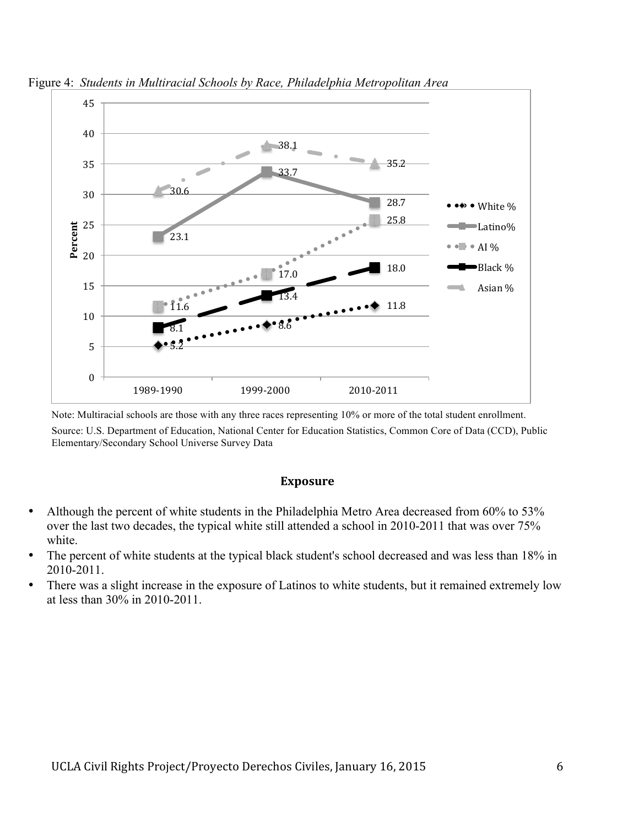

Figure 4: *Students in Multiracial Schools by Race, Philadelphia Metropolitan Area* 

Note: Multiracial schools are those with any three races representing 10% or more of the total student enrollment. Source: U.S. Department of Education, National Center for Education Statistics, Common Core of Data (CCD), Public Elementary/Secondary School Universe Survey Data

#### **Exposure**

- Although the percent of white students in the Philadelphia Metro Area decreased from 60% to 53% over the last two decades, the typical white still attended a school in 2010-2011 that was over 75% white.
- The percent of white students at the typical black student's school decreased and was less than 18% in 2010-2011.
- There was a slight increase in the exposure of Latinos to white students, but it remained extremely low at less than 30% in 2010-2011.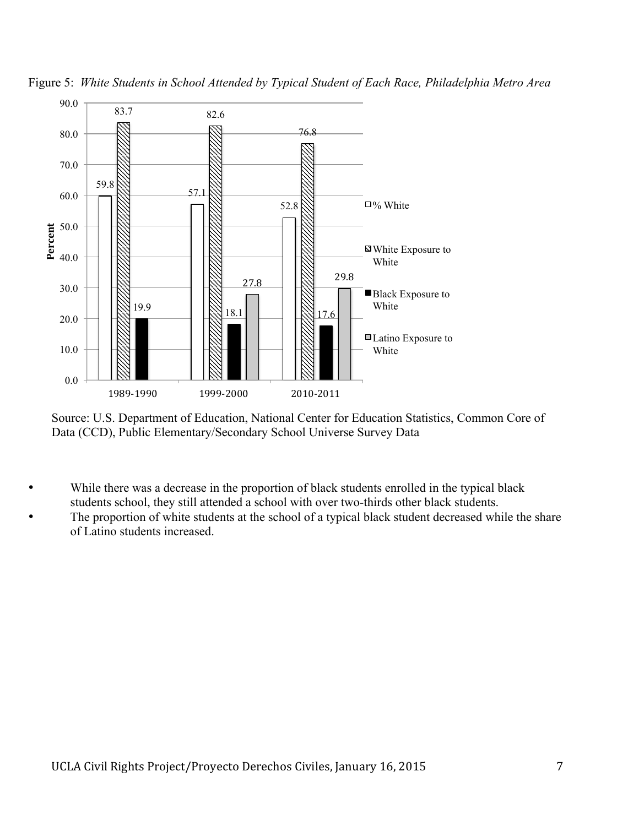



Source: U.S. Department of Education, National Center for Education Statistics, Common Core of Data (CCD), Public Elementary/Secondary School Universe Survey Data

- While there was a decrease in the proportion of black students enrolled in the typical black students school, they still attended a school with over two-thirds other black students.
- The proportion of white students at the school of a typical black student decreased while the share of Latino students increased.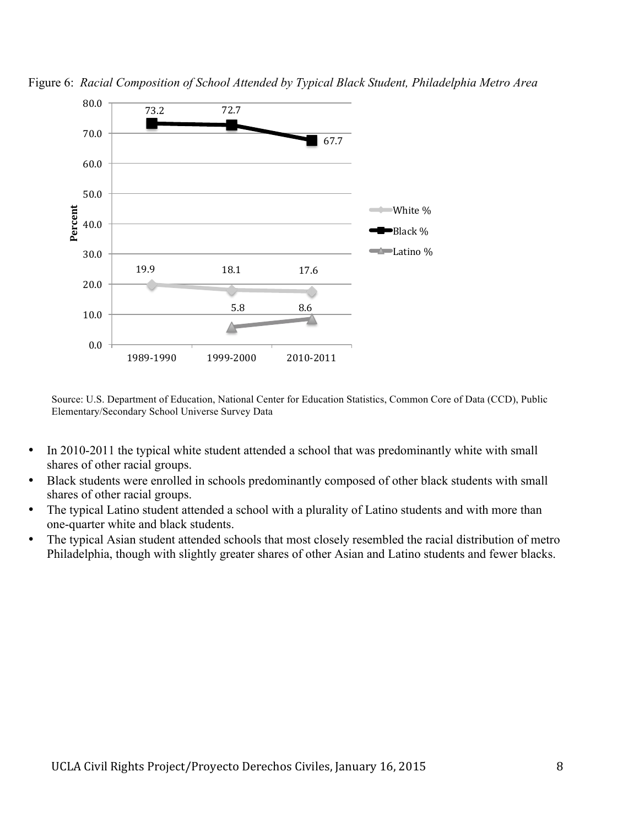

Figure 6: *Racial Composition of School Attended by Typical Black Student, Philadelphia Metro Area* 

- In 2010-2011 the typical white student attended a school that was predominantly white with small shares of other racial groups.
- Black students were enrolled in schools predominantly composed of other black students with small shares of other racial groups.
- The typical Latino student attended a school with a plurality of Latino students and with more than one-quarter white and black students.
- The typical Asian student attended schools that most closely resembled the racial distribution of metro Philadelphia, though with slightly greater shares of other Asian and Latino students and fewer blacks.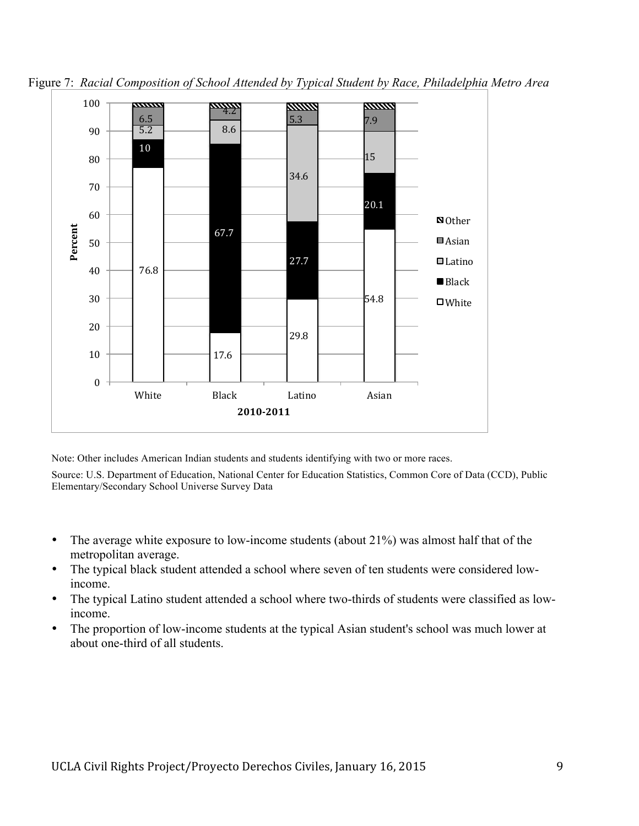

Figure 7: *Racial Composition of School Attended by Typical Student by Race, Philadelphia Metro Area*

Note: Other includes American Indian students and students identifying with two or more races.

- The average white exposure to low-income students (about 21%) was almost half that of the metropolitan average.
- The typical black student attended a school where seven of ten students were considered lowincome.
- The typical Latino student attended a school where two-thirds of students were classified as lowincome.
- The proportion of low-income students at the typical Asian student's school was much lower at about one-third of all students.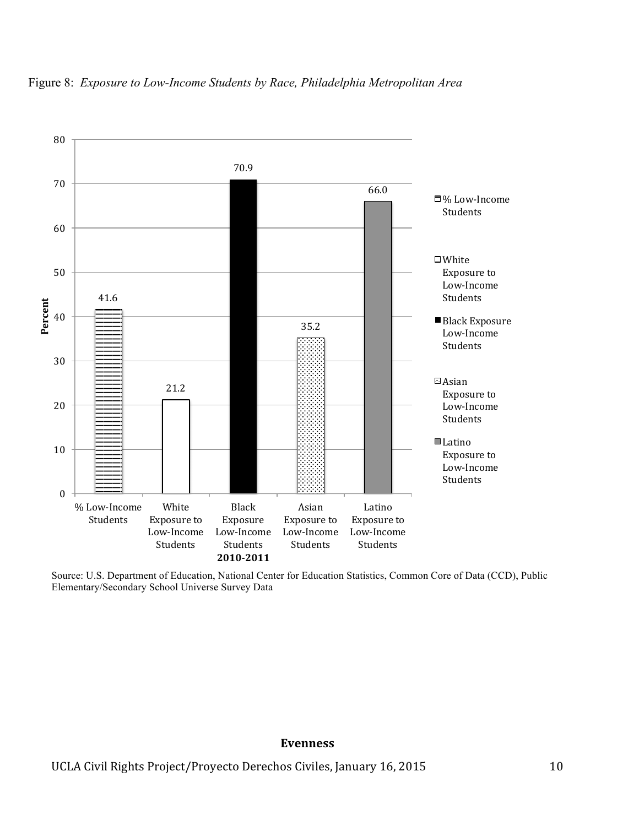

# Figure 8: *Exposure to Low-Income Students by Race, Philadelphia Metropolitan Area*

Source: U.S. Department of Education, National Center for Education Statistics, Common Core of Data (CCD), Public Elementary/Secondary School Universe Survey Data

#### **Evenness**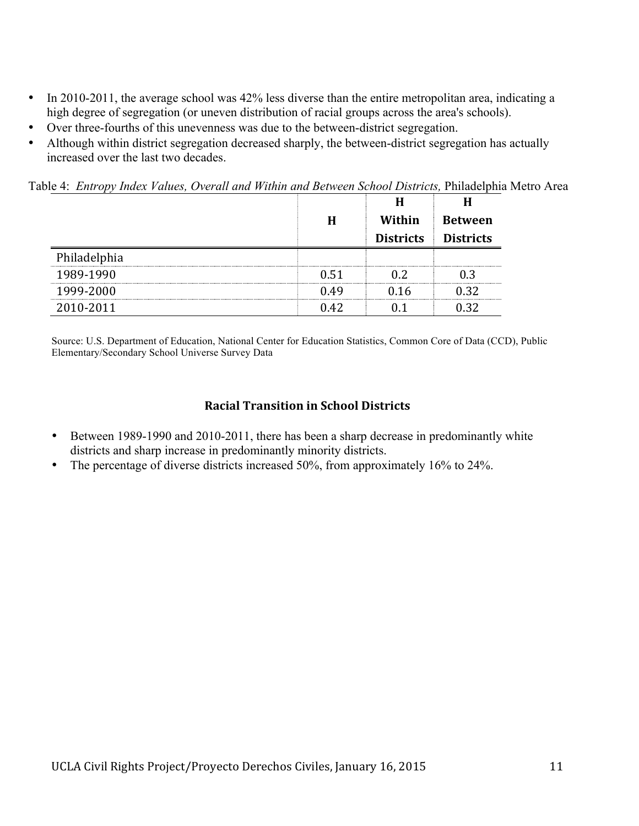- In 2010-2011, the average school was 42% less diverse than the entire metropolitan area, indicating a high degree of segregation (or uneven distribution of racial groups across the area's schools).
- Over three-fourths of this unevenness was due to the between-district segregation.
- Although within district segregation decreased sharply, the between-district segregation has actually increased over the last two decades.

Table 4: *Entropy Index Values, Overall and Within and Between School Districts, Philadelphia Metro Area* 

|              | Н    | Within           | <b>Between</b>   |
|--------------|------|------------------|------------------|
|              |      | <b>Districts</b> | <b>Districts</b> |
| Philadelphia |      |                  |                  |
| 1989-1990    | በ 51 |                  |                  |
| 1999-2000    | 0 49 |                  | ? ?              |
| 2010-2011    |      |                  |                  |

Source: U.S. Department of Education, National Center for Education Statistics, Common Core of Data (CCD), Public Elementary/Secondary School Universe Survey Data

### **Racial Transition in School Districts**

- Between 1989-1990 and 2010-2011, there has been a sharp decrease in predominantly white districts and sharp increase in predominantly minority districts.
- The percentage of diverse districts increased 50%, from approximately 16% to 24%.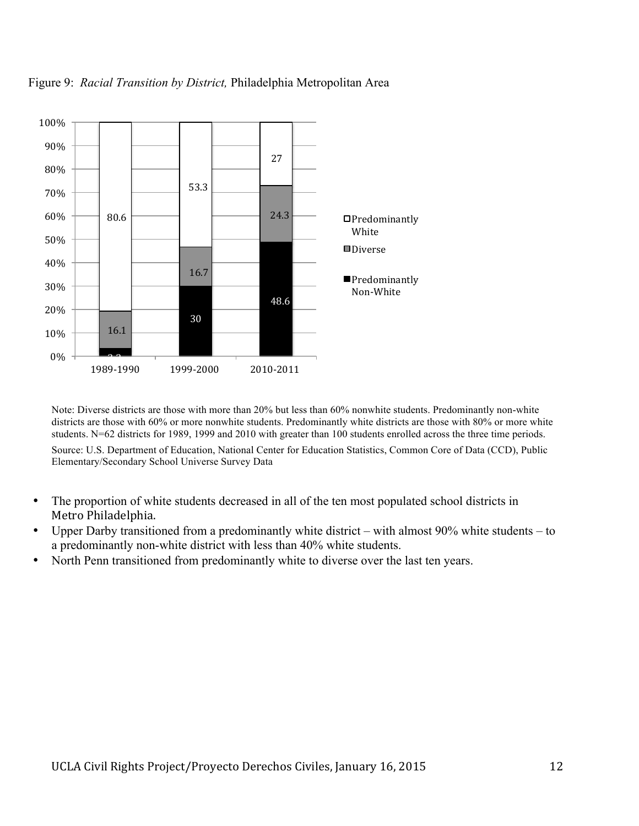

Figure 9: *Racial Transition by District,* Philadelphia Metropolitan Area

Note: Diverse districts are those with more than 20% but less than 60% nonwhite students. Predominantly non-white districts are those with 60% or more nonwhite students. Predominantly white districts are those with 80% or more white students. N=62 districts for 1989, 1999 and 2010 with greater than 100 students enrolled across the three time periods.

- The proportion of white students decreased in all of the ten most populated school districts in Metro Philadelphia.
- Upper Darby transitioned from a predominantly white district with almost 90% white students to a predominantly non-white district with less than 40% white students.
- North Penn transitioned from predominantly white to diverse over the last ten years.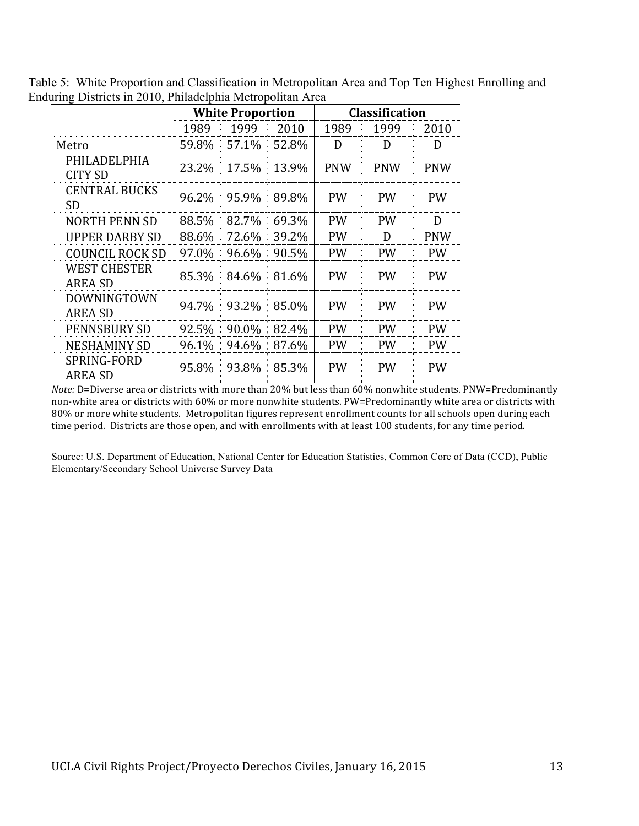|                                       |       | <b>White Proportion</b> |       |            | <b>Classification</b> |            |  |  |
|---------------------------------------|-------|-------------------------|-------|------------|-----------------------|------------|--|--|
|                                       | 1989  | 1999                    | 2010  | 1989       | 1999                  | 2010       |  |  |
| Metro                                 | 59.8% | 57.1%                   | 52.8% | D          | D                     | D          |  |  |
| PHILADELPHIA<br><b>CITY SD</b>        | 23.2% | 17.5%                   | 13.9% | <b>PNW</b> | <b>PNW</b>            | <b>PNW</b> |  |  |
| <b>CENTRAL BUCKS</b><br><b>SD</b>     | 96.2% | 95.9%                   | 89.8% | <b>PW</b>  | <b>PW</b>             | <b>PW</b>  |  |  |
| <b>NORTH PENN SD</b>                  | 88.5% | 82.7%                   | 69.3% | <b>PW</b>  | <b>PW</b>             | D          |  |  |
| <b>UPPER DARBY SD</b>                 | 88.6% | 72.6%                   | 39.2% | <b>PW</b>  | D                     | <b>PNW</b> |  |  |
| COUNCIL ROCK SD                       | 97.0% | 96.6%                   | 90.5% | <b>PW</b>  | <b>PW</b>             | PW         |  |  |
| <b>WEST CHESTER</b><br><b>AREA SD</b> | 85.3% | 84.6%                   | 81.6% | <b>PW</b>  | <b>PW</b>             | <b>PW</b>  |  |  |
| <b>DOWNINGTOWN</b><br><b>AREA SD</b>  | 94.7% | 93.2%                   | 85.0% | <b>PW</b>  | <b>PW</b>             | <b>PW</b>  |  |  |
| PENNSBURY SD                          | 92.5% | 90.0%                   | 82.4% | <b>PW</b>  | <b>PW</b>             | <b>PW</b>  |  |  |
| <b>NESHAMINY SD</b>                   | 96.1% | 94.6%                   | 87.6% | <b>PW</b>  | <b>PW</b>             | <b>PW</b>  |  |  |
| SPRING-FORD<br><b>AREA SD</b>         | 95.8% | 93.8%                   | 85.3% | <b>PW</b>  | <b>PW</b>             | <b>PW</b>  |  |  |

Table 5: White Proportion and Classification in Metropolitan Area and Top Ten Highest Enrolling and Enduring Districts in 2010, Philadelphia Metropolitan Area

*Note:* D=Diverse area or districts with more than 20% but less than 60% nonwhite students. PNW=Predominantly non-white area or districts with 60% or more nonwhite students. PW=Predominantly white area or districts with 80% or more white students. Metropolitan figures represent enrollment counts for all schools open during each time period. Districts are those open, and with enrollments with at least 100 students, for any time period.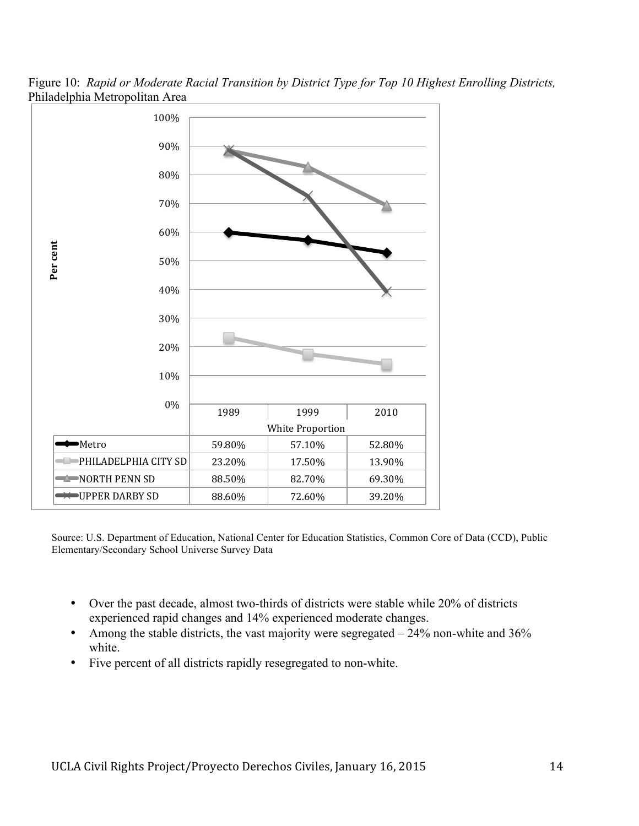

Figure 10: *Rapid or Moderate Racial Transition by District Type for Top 10 Highest Enrolling Districts,*  Philadelphia Metropolitan Area

- Over the past decade, almost two-thirds of districts were stable while 20% of districts experienced rapid changes and 14% experienced moderate changes.
- Among the stable districts, the vast majority were segregated  $-24\%$  non-white and 36% white.
- Five percent of all districts rapidly resegregated to non-white.